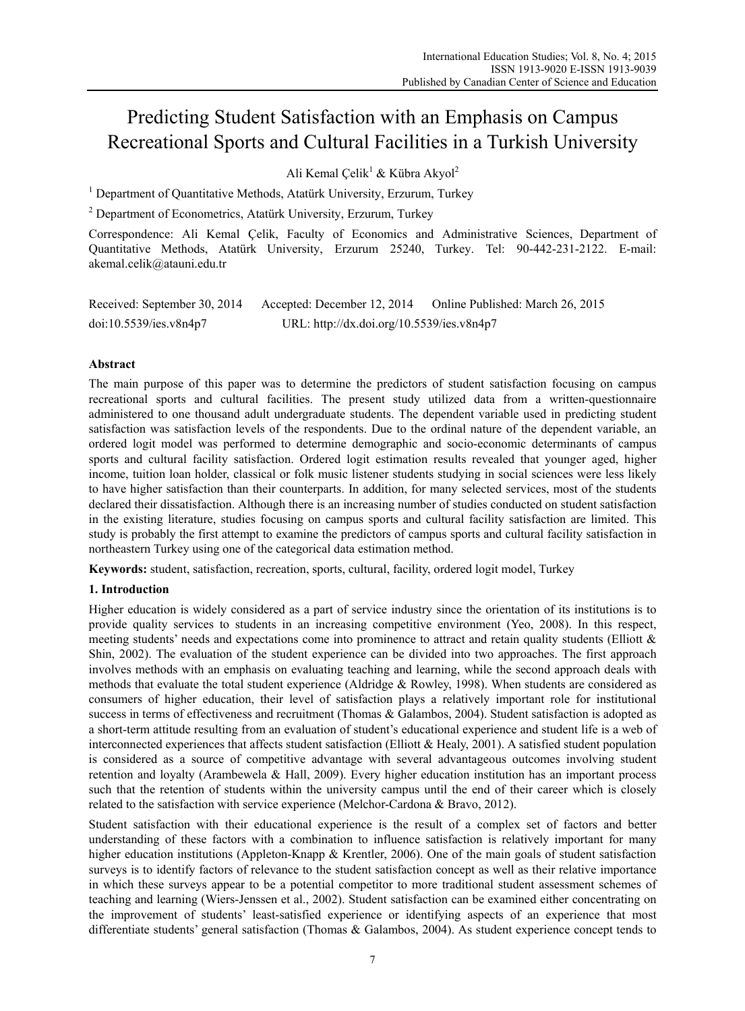# Predicting Student Satisfaction with an Emphasis on Campus Recreational Sports and Cultural Facilities in a Turkish University

Ali Kemal Çelik<sup>1</sup> & Kübra Akyol<sup>2</sup>

<sup>1</sup> Department of Quantitative Methods, Atatürk University, Erzurum, Turkey

<sup>2</sup> Department of Econometrics, Atatürk University, Erzurum, Turkey

Correspondence: Ali Kemal Çelik, Faculty of Economics and Administrative Sciences, Department of Quantitative Methods, Atatürk University, Erzurum 25240, Turkey. Tel: 90-442-231-2122. E-mail: akemal.celik@atauni.edu.tr

| Received: September 30, 2014 | Accepted: December 12, 2014               | Online Published: March 26, 2015 |
|------------------------------|-------------------------------------------|----------------------------------|
| doi:10.5539/ies.v8n4p7       | URL: http://dx.doi.org/10.5539/ies.v8n4p7 |                                  |

# **Abstract**

The main purpose of this paper was to determine the predictors of student satisfaction focusing on campus recreational sports and cultural facilities. The present study utilized data from a written-questionnaire administered to one thousand adult undergraduate students. The dependent variable used in predicting student satisfaction was satisfaction levels of the respondents. Due to the ordinal nature of the dependent variable, an ordered logit model was performed to determine demographic and socio-economic determinants of campus sports and cultural facility satisfaction. Ordered logit estimation results revealed that younger aged, higher income, tuition loan holder, classical or folk music listener students studying in social sciences were less likely to have higher satisfaction than their counterparts. In addition, for many selected services, most of the students declared their dissatisfaction. Although there is an increasing number of studies conducted on student satisfaction in the existing literature, studies focusing on campus sports and cultural facility satisfaction are limited. This study is probably the first attempt to examine the predictors of campus sports and cultural facility satisfaction in northeastern Turkey using one of the categorical data estimation method.

**Keywords:** student, satisfaction, recreation, sports, cultural, facility, ordered logit model, Turkey

# **1. Introduction**

Higher education is widely considered as a part of service industry since the orientation of its institutions is to provide quality services to students in an increasing competitive environment (Yeo, 2008). In this respect, meeting students' needs and expectations come into prominence to attract and retain quality students (Elliott & Shin, 2002). The evaluation of the student experience can be divided into two approaches. The first approach involves methods with an emphasis on evaluating teaching and learning, while the second approach deals with methods that evaluate the total student experience (Aldridge & Rowley, 1998). When students are considered as consumers of higher education, their level of satisfaction plays a relatively important role for institutional success in terms of effectiveness and recruitment (Thomas & Galambos, 2004). Student satisfaction is adopted as a short-term attitude resulting from an evaluation of student's educational experience and student life is a web of interconnected experiences that affects student satisfaction (Elliott & Healy, 2001). A satisfied student population is considered as a source of competitive advantage with several advantageous outcomes involving student retention and loyalty (Arambewela & Hall, 2009). Every higher education institution has an important process such that the retention of students within the university campus until the end of their career which is closely related to the satisfaction with service experience (Melchor-Cardona & Bravo, 2012).

Student satisfaction with their educational experience is the result of a complex set of factors and better understanding of these factors with a combination to influence satisfaction is relatively important for many higher education institutions (Appleton-Knapp & Krentler, 2006). One of the main goals of student satisfaction surveys is to identify factors of relevance to the student satisfaction concept as well as their relative importance in which these surveys appear to be a potential competitor to more traditional student assessment schemes of teaching and learning (Wiers-Jenssen et al., 2002). Student satisfaction can be examined either concentrating on the improvement of students' least-satisfied experience or identifying aspects of an experience that most differentiate students' general satisfaction (Thomas & Galambos, 2004). As student experience concept tends to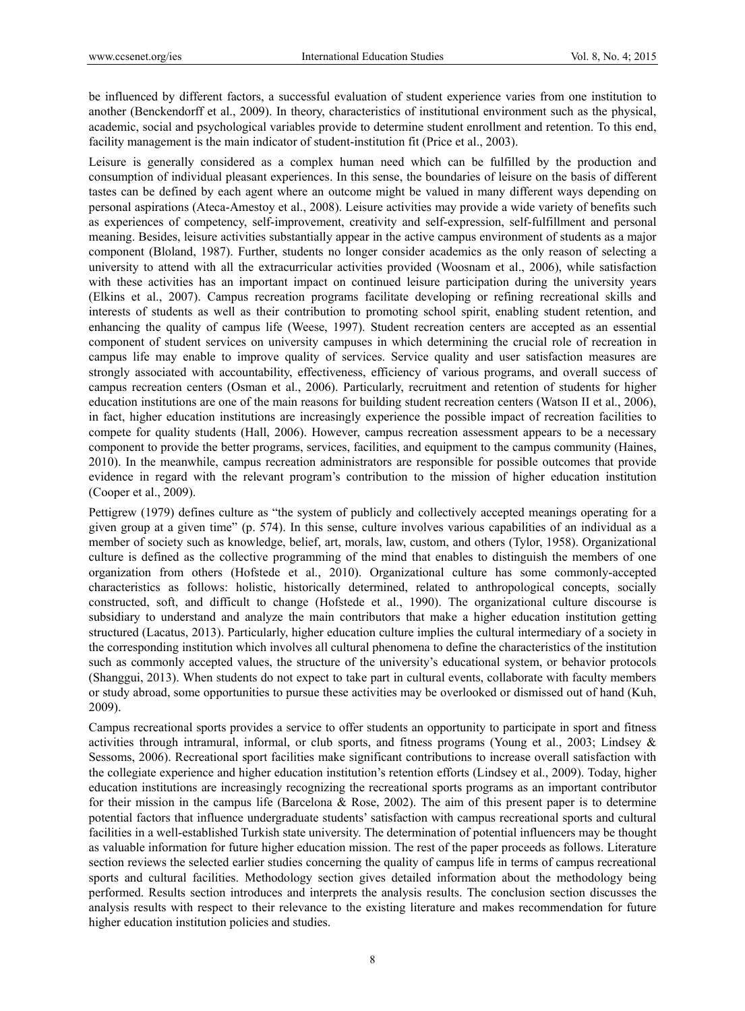be influenced by different factors, a successful evaluation of student experience varies from one institution to another (Benckendorff et al., 2009). In theory, characteristics of institutional environment such as the physical, academic, social and psychological variables provide to determine student enrollment and retention. To this end, facility management is the main indicator of student-institution fit (Price et al., 2003).

Leisure is generally considered as a complex human need which can be fulfilled by the production and consumption of individual pleasant experiences. In this sense, the boundaries of leisure on the basis of different tastes can be defined by each agent where an outcome might be valued in many different ways depending on personal aspirations (Ateca-Amestoy et al., 2008). Leisure activities may provide a wide variety of benefits such as experiences of competency, self-improvement, creativity and self-expression, self-fulfillment and personal meaning. Besides, leisure activities substantially appear in the active campus environment of students as a major component (Bloland, 1987). Further, students no longer consider academics as the only reason of selecting a university to attend with all the extracurricular activities provided (Woosnam et al., 2006), while satisfaction with these activities has an important impact on continued leisure participation during the university years (Elkins et al., 2007). Campus recreation programs facilitate developing or refining recreational skills and interests of students as well as their contribution to promoting school spirit, enabling student retention, and enhancing the quality of campus life (Weese, 1997). Student recreation centers are accepted as an essential component of student services on university campuses in which determining the crucial role of recreation in campus life may enable to improve quality of services. Service quality and user satisfaction measures are strongly associated with accountability, effectiveness, efficiency of various programs, and overall success of campus recreation centers (Osman et al., 2006). Particularly, recruitment and retention of students for higher education institutions are one of the main reasons for building student recreation centers (Watson II et al., 2006), in fact, higher education institutions are increasingly experience the possible impact of recreation facilities to compete for quality students (Hall, 2006). However, campus recreation assessment appears to be a necessary component to provide the better programs, services, facilities, and equipment to the campus community (Haines, 2010). In the meanwhile, campus recreation administrators are responsible for possible outcomes that provide evidence in regard with the relevant program's contribution to the mission of higher education institution (Cooper et al., 2009).

Pettigrew (1979) defines culture as "the system of publicly and collectively accepted meanings operating for a given group at a given time" (p. 574). In this sense, culture involves various capabilities of an individual as a member of society such as knowledge, belief, art, morals, law, custom, and others (Tylor, 1958). Organizational culture is defined as the collective programming of the mind that enables to distinguish the members of one organization from others (Hofstede et al., 2010). Organizational culture has some commonly-accepted characteristics as follows: holistic, historically determined, related to anthropological concepts, socially constructed, soft, and difficult to change (Hofstede et al., 1990). The organizational culture discourse is subsidiary to understand and analyze the main contributors that make a higher education institution getting structured (Lacatus, 2013). Particularly, higher education culture implies the cultural intermediary of a society in the corresponding institution which involves all cultural phenomena to define the characteristics of the institution such as commonly accepted values, the structure of the university's educational system, or behavior protocols (Shanggui, 2013). When students do not expect to take part in cultural events, collaborate with faculty members or study abroad, some opportunities to pursue these activities may be overlooked or dismissed out of hand (Kuh, 2009).

Campus recreational sports provides a service to offer students an opportunity to participate in sport and fitness activities through intramural, informal, or club sports, and fitness programs (Young et al., 2003; Lindsey & Sessoms, 2006). Recreational sport facilities make significant contributions to increase overall satisfaction with the collegiate experience and higher education institution's retention efforts (Lindsey et al., 2009). Today, higher education institutions are increasingly recognizing the recreational sports programs as an important contributor for their mission in the campus life (Barcelona & Rose, 2002). The aim of this present paper is to determine potential factors that influence undergraduate students' satisfaction with campus recreational sports and cultural facilities in a well-established Turkish state university. The determination of potential influencers may be thought as valuable information for future higher education mission. The rest of the paper proceeds as follows. Literature section reviews the selected earlier studies concerning the quality of campus life in terms of campus recreational sports and cultural facilities. Methodology section gives detailed information about the methodology being performed. Results section introduces and interprets the analysis results. The conclusion section discusses the analysis results with respect to their relevance to the existing literature and makes recommendation for future higher education institution policies and studies.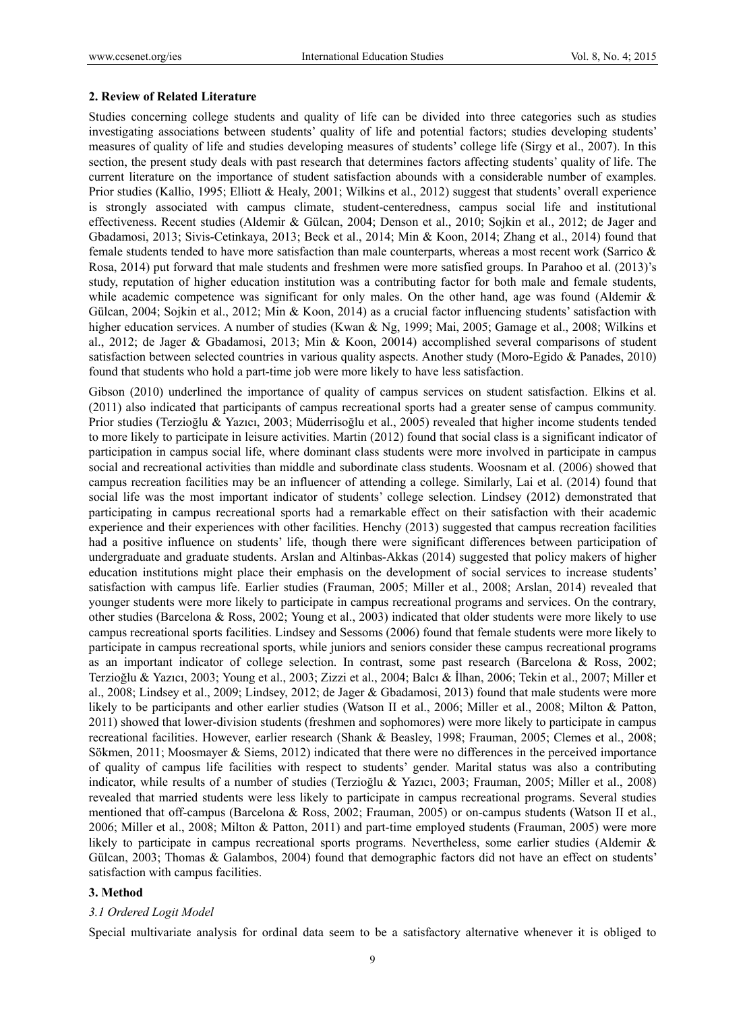## **2. Review of Related Literature**

Studies concerning college students and quality of life can be divided into three categories such as studies investigating associations between students' quality of life and potential factors; studies developing students' measures of quality of life and studies developing measures of students' college life (Sirgy et al., 2007). In this section, the present study deals with past research that determines factors affecting students' quality of life. The current literature on the importance of student satisfaction abounds with a considerable number of examples. Prior studies (Kallio, 1995; Elliott & Healy, 2001; Wilkins et al., 2012) suggest that students' overall experience is strongly associated with campus climate, student-centeredness, campus social life and institutional effectiveness. Recent studies (Aldemir & Gülcan, 2004; Denson et al., 2010; Sojkin et al., 2012; de Jager and Gbadamosi, 2013; Sivis-Cetinkaya, 2013; Beck et al., 2014; Min & Koon, 2014; Zhang et al., 2014) found that female students tended to have more satisfaction than male counterparts, whereas a most recent work (Sarrico & Rosa, 2014) put forward that male students and freshmen were more satisfied groups. In Parahoo et al. (2013)'s study, reputation of higher education institution was a contributing factor for both male and female students, while academic competence was significant for only males. On the other hand, age was found (Aldemir  $\&$ Gülcan, 2004; Sojkin et al., 2012; Min & Koon, 2014) as a crucial factor influencing students' satisfaction with higher education services. A number of studies (Kwan & Ng, 1999; Mai, 2005; Gamage et al., 2008; Wilkins et al., 2012; de Jager & Gbadamosi, 2013; Min & Koon, 20014) accomplished several comparisons of student satisfaction between selected countries in various quality aspects. Another study (Moro-Egido & Panades, 2010) found that students who hold a part-time job were more likely to have less satisfaction.

Gibson (2010) underlined the importance of quality of campus services on student satisfaction. Elkins et al. (2011) also indicated that participants of campus recreational sports had a greater sense of campus community. Prior studies (Terzioğlu & Yazıcı, 2003; Müderrisoğlu et al., 2005) revealed that higher income students tended to more likely to participate in leisure activities. Martin (2012) found that social class is a significant indicator of participation in campus social life, where dominant class students were more involved in participate in campus social and recreational activities than middle and subordinate class students. Woosnam et al. (2006) showed that campus recreation facilities may be an influencer of attending a college. Similarly, Lai et al. (2014) found that social life was the most important indicator of students' college selection. Lindsey (2012) demonstrated that participating in campus recreational sports had a remarkable effect on their satisfaction with their academic experience and their experiences with other facilities. Henchy (2013) suggested that campus recreation facilities had a positive influence on students' life, though there were significant differences between participation of undergraduate and graduate students. Arslan and Altinbas-Akkas (2014) suggested that policy makers of higher education institutions might place their emphasis on the development of social services to increase students' satisfaction with campus life. Earlier studies (Frauman, 2005; Miller et al., 2008; Arslan, 2014) revealed that younger students were more likely to participate in campus recreational programs and services. On the contrary, other studies (Barcelona & Ross, 2002; Young et al., 2003) indicated that older students were more likely to use campus recreational sports facilities. Lindsey and Sessoms (2006) found that female students were more likely to participate in campus recreational sports, while juniors and seniors consider these campus recreational programs as an important indicator of college selection. In contrast, some past research (Barcelona & Ross, 2002; Terzioğlu & Yazıcı, 2003; Young et al., 2003; Zizzi et al., 2004; Balcı & İlhan, 2006; Tekin et al., 2007; Miller et al., 2008; Lindsey et al., 2009; Lindsey, 2012; de Jager & Gbadamosi, 2013) found that male students were more likely to be participants and other earlier studies (Watson II et al., 2006; Miller et al., 2008; Milton & Patton, 2011) showed that lower-division students (freshmen and sophomores) were more likely to participate in campus recreational facilities. However, earlier research (Shank & Beasley, 1998; Frauman, 2005; Clemes et al., 2008; Sökmen, 2011; Moosmayer & Siems, 2012) indicated that there were no differences in the perceived importance of quality of campus life facilities with respect to students' gender. Marital status was also a contributing indicator, while results of a number of studies (Terzioğlu & Yazıcı, 2003; Frauman, 2005; Miller et al., 2008) revealed that married students were less likely to participate in campus recreational programs. Several studies mentioned that off-campus (Barcelona & Ross, 2002; Frauman, 2005) or on-campus students (Watson II et al., 2006; Miller et al., 2008; Milton & Patton, 2011) and part-time employed students (Frauman, 2005) were more likely to participate in campus recreational sports programs. Nevertheless, some earlier studies (Aldemir & Gülcan, 2003; Thomas & Galambos, 2004) found that demographic factors did not have an effect on students' satisfaction with campus facilities.

### **3. Method**

## *3.1 Ordered Logit Model*

Special multivariate analysis for ordinal data seem to be a satisfactory alternative whenever it is obliged to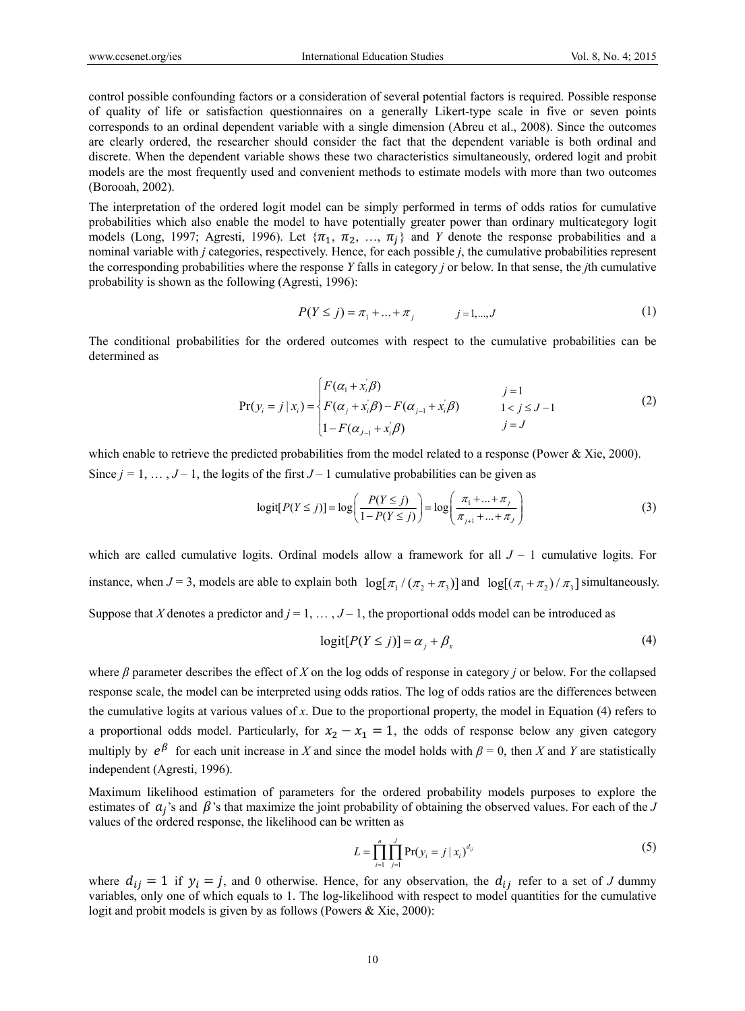control possible confounding factors or a consideration of several potential factors is required. Possible response of quality of life or satisfaction questionnaires on a generally Likert-type scale in five or seven points corresponds to an ordinal dependent variable with a single dimension (Abreu et al., 2008). Since the outcomes are clearly ordered, the researcher should consider the fact that the dependent variable is both ordinal and discrete. When the dependent variable shows these two characteristics simultaneously, ordered logit and probit models are the most frequently used and convenient methods to estimate models with more than two outcomes (Borooah, 2002).

The interpretation of the ordered logit model can be simply performed in terms of odds ratios for cumulative probabilities which also enable the model to have potentially greater power than ordinary multicategory logit models (Long, 1997; Agresti, 1996). Let  $\{\pi_1, \pi_2, \ldots, \pi_i\}$  and *Y* denote the response probabilities and a nominal variable with *j* categories, respectively. Hence, for each possible *j*, the cumulative probabilities represent the corresponding probabilities where the response *Y* falls in category *j* or below. In that sense, the *j*th cumulative probability is shown as the following (Agresti, 1996):

$$
P(Y \le j) = \pi_1 + \dots + \pi_j \qquad j = 1, \dots, J \tag{1}
$$

The conditional probabilities for the ordered outcomes with respect to the cumulative probabilities can be determined as

$$
Pr(y_i = j | x_i) = \begin{cases} F(\alpha_1 + x_i \beta) & j = 1 \\ F(\alpha_j + x_i \beta) - F(\alpha_{j-1} + x_i \beta) & 1 < j \le J - 1 \\ 1 - F(\alpha_{j-1} + x_i \beta) & j = J \end{cases}
$$
(2)

which enable to retrieve the predicted probabilities from the model related to a response (Power & Xie, 2000). Since  $j = 1, \ldots, J-1$ , the logits of the first  $J-1$  cumulative probabilities can be given as

$$
logit[P(Y \le j)] = log\left(\frac{P(Y \le j)}{1 - P(Y \le j)}\right) = log\left(\frac{\pi_1 + ... + \pi_j}{\pi_{j+1} + ... + \pi_j}\right)
$$
(3)

which are called cumulative logits. Ordinal models allow a framework for all  $J - 1$  cumulative logits. For instance, when  $J = 3$ , models are able to explain both  $\log[\pi_1/(\pi_2 + \pi_3)]$  and  $\log[(\pi_1 + \pi_2)/\pi_3]$  simultaneously. Suppose that *X* denotes a predictor and  $j = 1, \ldots, J-1$ , the proportional odds model can be introduced as

$$
logit[P(Y \le j)] = \alpha_j + \beta_x \tag{4}
$$

where *β* parameter describes the effect of *X* on the log odds of response in category *j* or below. For the collapsed response scale, the model can be interpreted using odds ratios. The log of odds ratios are the differences between the cumulative logits at various values of *x*. Due to the proportional property, the model in Equation (4) refers to a proportional odds model. Particularly, for  $x_2 - x_1 = 1$ , the odds of response below any given category multiply by  $e^{\beta}$  for each unit increase in *X* and since the model holds with  $\beta = 0$ , then *X* and *Y* are statistically independent (Agresti, 1996).

Maximum likelihood estimation of parameters for the ordered probability models purposes to explore the estimates of  $a_i$ 's and  $\beta$ 's that maximize the joint probability of obtaining the observed values. For each of the *J* values of the ordered response, the likelihood can be written as

$$
L = \prod_{i=1}^{n} \prod_{j=1}^{J} \Pr(y_i = j | x_i)^{d_{ij}}
$$
(5)

where  $d_{ij} = 1$  if  $y_i = j$ , and 0 otherwise. Hence, for any observation, the  $d_{ij}$  refer to a set of *J* dummy variables, only one of which equals to 1. The log-likelihood with respect to model quantities for the cumulative logit and probit models is given by as follows (Powers & Xie, 2000):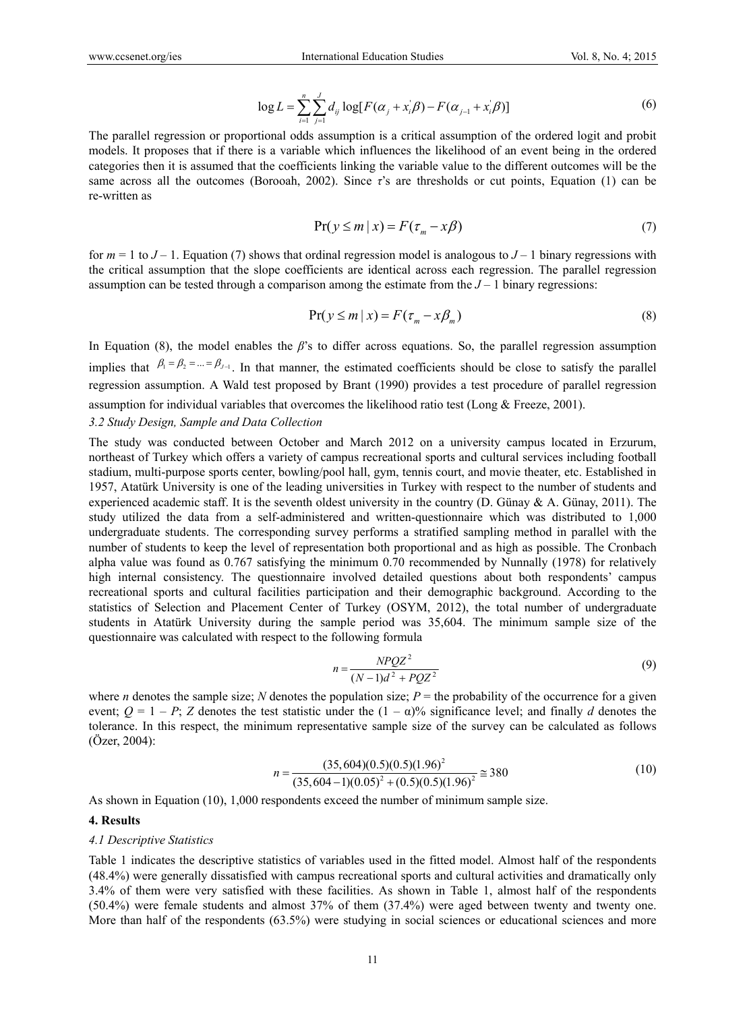$$
\log L = \sum_{i=1}^{n} \sum_{j=1}^{J} d_{ij} \log [F(\alpha_j + x_i/\beta) - F(\alpha_{j-1} + x_i/\beta)] \tag{6}
$$

The parallel regression or proportional odds assumption is a critical assumption of the ordered logit and probit models. It proposes that if there is a variable which influences the likelihood of an event being in the ordered categories then it is assumed that the coefficients linking the variable value to the different outcomes will be the same across all the outcomes (Borooah, 2002). Since *τ*'s are thresholds or cut points, Equation (1) can be re-written as

$$
Pr(y \le m \mid x) = F(\tau_m - x\beta)
$$
\n<sup>(7)</sup>

for  $m = 1$  to  $J - 1$ . Equation (7) shows that ordinal regression model is analogous to  $J - 1$  binary regressions with the critical assumption that the slope coefficients are identical across each regression. The parallel regression assumption can be tested through a comparison among the estimate from the  $J-1$  binary regressions:

$$
Pr(y \le m \mid x) = F(\tau_m - x\beta_m)
$$
\n(8)

In Equation (8), the model enables the *β*'s to differ across equations. So, the parallel regression assumption implies that  $\beta_1 = \beta_2 = ... = \beta_{J-1}$ . In that manner, the estimated coefficients should be close to satisfy the parallel regression assumption. A Wald test proposed by Brant (1990) provides a test procedure of parallel regression assumption for individual variables that overcomes the likelihood ratio test (Long & Freeze, 2001). *3.2 Study Design, Sample and Data Collection* 

The study was conducted between October and March 2012 on a university campus located in Erzurum, northeast of Turkey which offers a variety of campus recreational sports and cultural services including football stadium, multi-purpose sports center, bowling/pool hall, gym, tennis court, and movie theater, etc. Established in 1957, Atatürk University is one of the leading universities in Turkey with respect to the number of students and experienced academic staff. It is the seventh oldest university in the country (D. Günay  $\&$  A. Günay, 2011). The study utilized the data from a self-administered and written-questionnaire which was distributed to 1,000 undergraduate students. The corresponding survey performs a stratified sampling method in parallel with the number of students to keep the level of representation both proportional and as high as possible. The Cronbach alpha value was found as 0.767 satisfying the minimum 0.70 recommended by Nunnally (1978) for relatively high internal consistency. The questionnaire involved detailed questions about both respondents' campus recreational sports and cultural facilities participation and their demographic background. According to the statistics of Selection and Placement Center of Turkey (OSYM, 2012), the total number of undergraduate students in Atatürk University during the sample period was 35,604. The minimum sample size of the questionnaire was calculated with respect to the following formula

$$
n = \frac{NPQZ^2}{(N-1)d^2 + PQZ^2}
$$
\n
$$
(9)
$$

where *n* denotes the sample size; *N* denotes the population size;  $P =$  the probability of the occurrence for a given event;  $Q = 1 - P$ ; *Z* denotes the test statistic under the  $(1 - \alpha)\%$  significance level; and finally *d* denotes the tolerance. In this respect, the minimum representative sample size of the survey can be calculated as follows (Özer, 2004):

$$
n = \frac{(35,604)(0.5)(0.5)(1.96)^{2}}{(35,604-1)(0.05)^{2} + (0.5)(0.5)(1.96)^{2}} \approx 380
$$
 (10)

As shown in Equation (10), 1,000 respondents exceed the number of minimum sample size.

## **4. Results**

#### *4.1 Descriptive Statistics*

Table 1 indicates the descriptive statistics of variables used in the fitted model. Almost half of the respondents (48.4%) were generally dissatisfied with campus recreational sports and cultural activities and dramatically only 3.4% of them were very satisfied with these facilities. As shown in Table 1, almost half of the respondents (50.4%) were female students and almost 37% of them (37.4%) were aged between twenty and twenty one. More than half of the respondents (63.5%) were studying in social sciences or educational sciences and more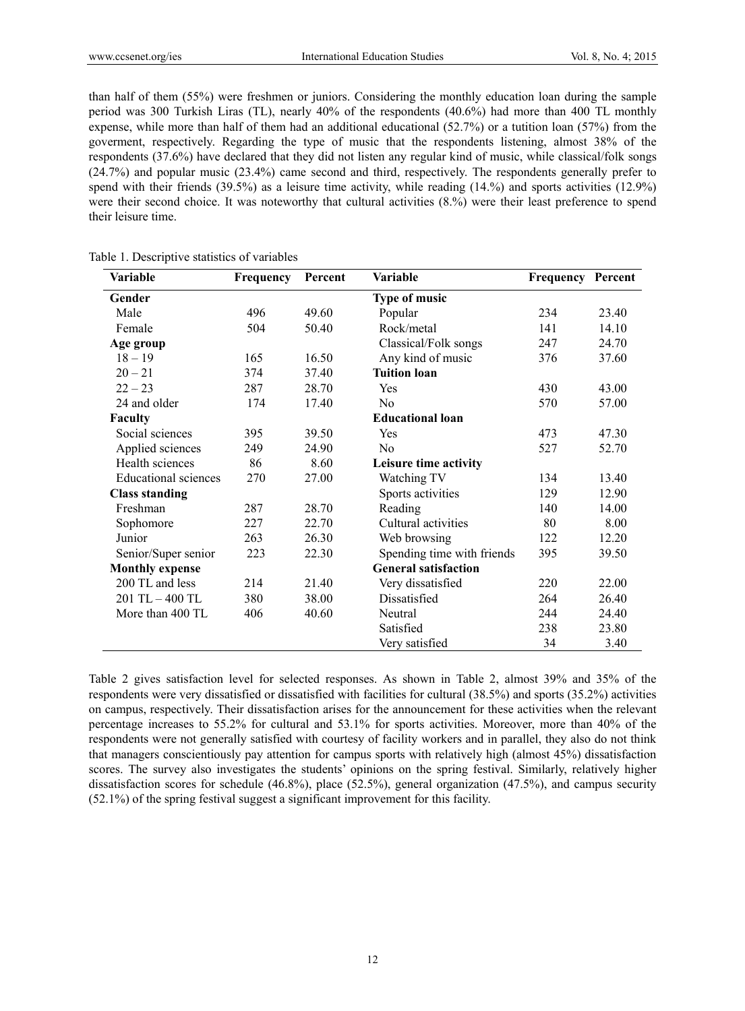than half of them (55%) were freshmen or juniors. Considering the monthly education loan during the sample period was 300 Turkish Liras (TL), nearly 40% of the respondents (40.6%) had more than 400 TL monthly expense, while more than half of them had an additional educational (52.7%) or a tutition loan (57%) from the goverment, respectively. Regarding the type of music that the respondents listening, almost 38% of the respondents (37.6%) have declared that they did not listen any regular kind of music, while classical/folk songs (24.7%) and popular music (23.4%) came second and third, respectively. The respondents generally prefer to spend with their friends (39.5%) as a leisure time activity, while reading (14.%) and sports activities (12.9%) were their second choice. It was noteworthy that cultural activities (8.%) were their least preference to spend their leisure time.

| Variable                    | Frequency | Percent | <b>Variable</b>             | <b>Frequency Percent</b> |       |
|-----------------------------|-----------|---------|-----------------------------|--------------------------|-------|
| Gender                      |           |         | <b>Type of music</b>        |                          |       |
| Male                        | 496       | 49.60   | Popular                     | 234                      | 23.40 |
| Female                      | 504       | 50.40   | Rock/metal                  | 141                      | 14.10 |
| Age group                   |           |         | Classical/Folk songs        | 247                      | 24.70 |
| $18 - 19$                   | 165       | 16.50   | Any kind of music           | 376                      | 37.60 |
| $20 - 21$                   | 374       | 37.40   | <b>Tuition loan</b>         |                          |       |
| $22 - 23$                   | 287       | 28.70   | Yes                         | 430                      | 43.00 |
| 24 and older                | 174       | 17.40   | N <sub>0</sub>              | 570                      | 57.00 |
| Faculty                     |           |         | <b>Educational loan</b>     |                          |       |
| Social sciences             | 395       | 39.50   | Yes                         | 473                      | 47.30 |
| Applied sciences            | 249       | 24.90   | N <sub>0</sub>              | 527                      | 52.70 |
| Health sciences             | 86        | 8.60    | Leisure time activity       |                          |       |
| <b>Educational</b> sciences | 270       | 27.00   | Watching TV                 | 134                      | 13.40 |
| <b>Class standing</b>       |           |         | Sports activities           | 129                      | 12.90 |
| Freshman                    | 287       | 28.70   | Reading                     | 140                      | 14.00 |
| Sophomore                   | 227       | 22.70   | Cultural activities         | 80                       | 8.00  |
| Junior                      | 263       | 26.30   | Web browsing                | 122                      | 12.20 |
| Senior/Super senior         | 223       | 22.30   | Spending time with friends  | 395                      | 39.50 |
| <b>Monthly expense</b>      |           |         | <b>General satisfaction</b> |                          |       |
| 200 TL and less             | 214       | 21.40   | Very dissatisfied           | 220                      | 22.00 |
| $201$ TL $-$ 400 TL         | 380       | 38.00   | Dissatisfied                | 264                      | 26.40 |
| More than 400 TL            | 406       | 40.60   | Neutral                     | 244                      | 24.40 |
|                             |           |         | Satisfied                   | 238                      | 23.80 |
|                             |           |         | Very satisfied              | 34                       | 3.40  |

| Table 1. Descriptive statistics of variables |  |
|----------------------------------------------|--|
|----------------------------------------------|--|

Table 2 gives satisfaction level for selected responses. As shown in Table 2, almost 39% and 35% of the respondents were very dissatisfied or dissatisfied with facilities for cultural (38.5%) and sports (35.2%) activities on campus, respectively. Their dissatisfaction arises for the announcement for these activities when the relevant percentage increases to 55.2% for cultural and 53.1% for sports activities. Moreover, more than 40% of the respondents were not generally satisfied with courtesy of facility workers and in parallel, they also do not think that managers conscientiously pay attention for campus sports with relatively high (almost 45%) dissatisfaction scores. The survey also investigates the students' opinions on the spring festival. Similarly, relatively higher dissatisfaction scores for schedule (46.8%), place (52.5%), general organization (47.5%), and campus security (52.1%) of the spring festival suggest a significant improvement for this facility.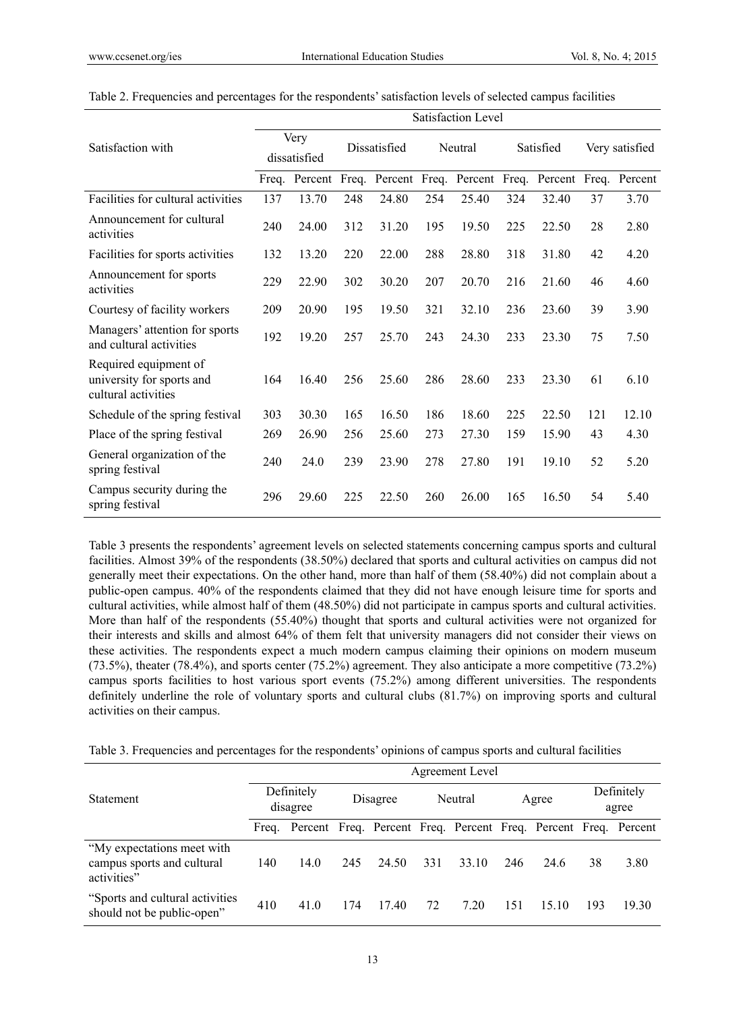|                                                                           | Satisfaction Level   |         |              |       |         |                             |           |       |                |                       |
|---------------------------------------------------------------------------|----------------------|---------|--------------|-------|---------|-----------------------------|-----------|-------|----------------|-----------------------|
| Satisfaction with                                                         | Very<br>dissatisfied |         | Dissatisfied |       | Neutral |                             | Satisfied |       | Very satisfied |                       |
|                                                                           | Freq.                | Percent | Freq.        |       |         | Percent Freq. Percent Freq. |           |       |                | Percent Freq. Percent |
| Facilities for cultural activities                                        | 137                  | 13.70   | 248          | 24.80 | 254     | 25.40                       | 324       | 32.40 | 37             | 3.70                  |
| Announcement for cultural<br>activities                                   | 240                  | 24.00   | 312          | 31.20 | 195     | 19.50                       | 225       | 22.50 | 28             | 2.80                  |
| Facilities for sports activities                                          | 132                  | 13.20   | 220          | 22.00 | 288     | 28.80                       | 318       | 31.80 | 42             | 4.20                  |
| Announcement for sports<br>activities                                     | 229                  | 22.90   | 302          | 30.20 | 207     | 20.70                       | 216       | 21.60 | 46             | 4.60                  |
| Courtesy of facility workers                                              | 209                  | 20.90   | 195          | 19.50 | 321     | 32.10                       | 236       | 23.60 | 39             | 3.90                  |
| Managers' attention for sports<br>and cultural activities                 | 192                  | 19.20   | 257          | 25.70 | 243     | 24.30                       | 233       | 23.30 | 75             | 7.50                  |
| Required equipment of<br>university for sports and<br>cultural activities | 164                  | 16.40   | 256          | 25.60 | 286     | 28.60                       | 233       | 23.30 | 61             | 6.10                  |
| Schedule of the spring festival                                           | 303                  | 30.30   | 165          | 16.50 | 186     | 18.60                       | 225       | 22.50 | 121            | 12.10                 |
| Place of the spring festival                                              | 269                  | 26.90   | 256          | 25.60 | 273     | 27.30                       | 159       | 15.90 | 43             | 4.30                  |
| General organization of the<br>spring festival                            | 240                  | 24.0    | 239          | 23.90 | 278     | 27.80                       | 191       | 19.10 | 52             | 5.20                  |
| Campus security during the<br>spring festival                             | 296                  | 29.60   | 225          | 22.50 | 260     | 26.00                       | 165       | 16.50 | 54             | 5.40                  |

|  | Table 2. Frequencies and percentages for the respondents' satisfaction levels of selected campus facilities |  |  |
|--|-------------------------------------------------------------------------------------------------------------|--|--|
|  |                                                                                                             |  |  |

Table 3 presents the respondents' agreement levels on selected statements concerning campus sports and cultural facilities. Almost 39% of the respondents (38.50%) declared that sports and cultural activities on campus did not generally meet their expectations. On the other hand, more than half of them (58.40%) did not complain about a public-open campus. 40% of the respondents claimed that they did not have enough leisure time for sports and cultural activities, while almost half of them (48.50%) did not participate in campus sports and cultural activities. More than half of the respondents (55.40%) thought that sports and cultural activities were not organized for their interests and skills and almost 64% of them felt that university managers did not consider their views on these activities. The respondents expect a much modern campus claiming their opinions on modern museum (73.5%), theater (78.4%), and sports center (75.2%) agreement. They also anticipate a more competitive (73.2%) campus sports facilities to host various sport events (75.2%) among different universities. The respondents definitely underline the role of voluntary sports and cultural clubs (81.7%) on improving sports and cultural activities on their campus.

|  | Table 3. Frequencies and percentages for the respondents' opinions of campus sports and cultural facilities |  |  |  |  |
|--|-------------------------------------------------------------------------------------------------------------|--|--|--|--|
|  |                                                                                                             |  |  |  |  |

|                                                                         |                        | Agreement Level                                                       |          |       |         |       |       |       |                     |       |  |
|-------------------------------------------------------------------------|------------------------|-----------------------------------------------------------------------|----------|-------|---------|-------|-------|-------|---------------------|-------|--|
| <b>Statement</b>                                                        | Definitely<br>disagree |                                                                       | Disagree |       | Neutral |       | Agree |       | Definitely<br>agree |       |  |
|                                                                         |                        | Freq. Percent Freq. Percent Freq. Percent Freq. Percent Freq. Percent |          |       |         |       |       |       |                     |       |  |
| "My expectations meet with<br>campus sports and cultural<br>activities" | 140                    | 14.0                                                                  | 245      | 24.50 | 331     | 33.10 | 246   | 24.6  | 38                  | 3.80  |  |
| "Sports and cultural activities"<br>should not be public-open"          | 410                    | 41.0                                                                  | 174      | 1740  | 72      | 7.20  | 151   | 15 10 | 193                 | 19.30 |  |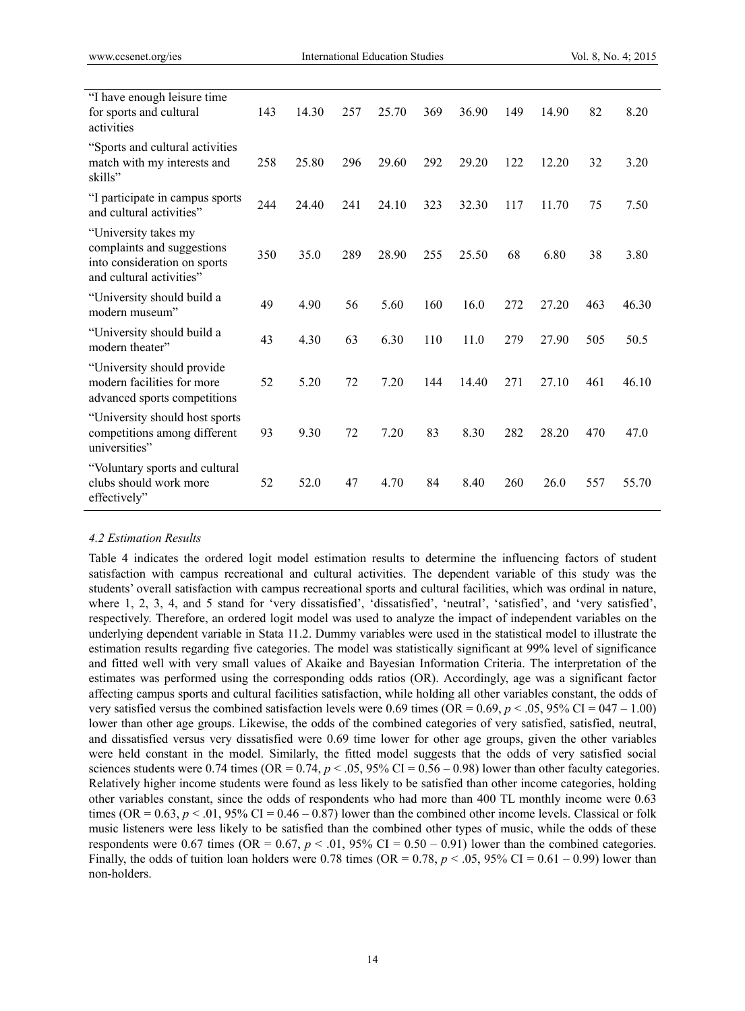| "I have enough leisure time<br>for sports and cultural<br>activities                                           | 143 | 14.30 | 257 | 25.70 | 369 | 36.90 | 149 | 14.90 | 82  | 8.20  |
|----------------------------------------------------------------------------------------------------------------|-----|-------|-----|-------|-----|-------|-----|-------|-----|-------|
| "Sports and cultural activities<br>match with my interests and<br>skills"                                      | 258 | 25.80 | 296 | 29.60 | 292 | 29.20 | 122 | 12.20 | 32  | 3.20  |
| "I participate in campus sports<br>and cultural activities"                                                    | 244 | 24.40 | 241 | 24.10 | 323 | 32.30 | 117 | 11.70 | 75  | 7.50  |
| "University takes my<br>complaints and suggestions<br>into consideration on sports<br>and cultural activities" | 350 | 35.0  | 289 | 28.90 | 255 | 25.50 | 68  | 6.80  | 38  | 3.80  |
| "University should build a<br>modern museum"                                                                   | 49  | 4.90  | 56  | 5.60  | 160 | 16.0  | 272 | 27.20 | 463 | 46.30 |
| "University should build a<br>modern theater"                                                                  | 43  | 4.30  | 63  | 6.30  | 110 | 11.0  | 279 | 27.90 | 505 | 50.5  |
| "University should provide"<br>modern facilities for more<br>advanced sports competitions                      | 52  | 5.20  | 72  | 7.20  | 144 | 14.40 | 271 | 27.10 | 461 | 46.10 |
| "University should host sports<br>competitions among different<br>universities"                                | 93  | 9.30  | 72  | 7.20  | 83  | 8.30  | 282 | 28.20 | 470 | 47.0  |
| "Voluntary sports and cultural<br>clubs should work more<br>effectively"                                       | 52  | 52.0  | 47  | 4.70  | 84  | 8.40  | 260 | 26.0  | 557 | 55.70 |

## *4.2 Estimation Results*

Table 4 indicates the ordered logit model estimation results to determine the influencing factors of student satisfaction with campus recreational and cultural activities. The dependent variable of this study was the students' overall satisfaction with campus recreational sports and cultural facilities, which was ordinal in nature, where 1, 2, 3, 4, and 5 stand for 'very dissatisfied', 'dissatisfied', 'neutral', 'satisfied', and 'very satisfied', respectively. Therefore, an ordered logit model was used to analyze the impact of independent variables on the underlying dependent variable in Stata 11.2. Dummy variables were used in the statistical model to illustrate the estimation results regarding five categories. The model was statistically significant at 99% level of significance and fitted well with very small values of Akaike and Bayesian Information Criteria. The interpretation of the estimates was performed using the corresponding odds ratios (OR). Accordingly, age was a significant factor affecting campus sports and cultural facilities satisfaction, while holding all other variables constant, the odds of very satisfied versus the combined satisfaction levels were 0.69 times (OR = 0.69,  $p < .05$ , 95% CI = 047 – 1.00) lower than other age groups. Likewise, the odds of the combined categories of very satisfied, satisfied, neutral, and dissatisfied versus very dissatisfied were 0.69 time lower for other age groups, given the other variables were held constant in the model. Similarly, the fitted model suggests that the odds of very satisfied social sciences students were 0.74 times (OR = 0.74,  $p < .05$ , 95% CI = 0.56 – 0.98) lower than other faculty categories. Relatively higher income students were found as less likely to be satisfied than other income categories, holding other variables constant, since the odds of respondents who had more than 400 TL monthly income were 0.63 times (OR =  $0.63$ ,  $p < 0.01$ , 95% CI =  $0.46 - 0.87$ ) lower than the combined other income levels. Classical or folk music listeners were less likely to be satisfied than the combined other types of music, while the odds of these respondents were 0.67 times (OR = 0.67,  $p < .01$ , 95% CI = 0.50 – 0.91) lower than the combined categories. Finally, the odds of tuition loan holders were 0.78 times (OR =  $0.78$ ,  $p < .05$ ,  $95\%$  CI =  $0.61 - 0.99$ ) lower than non-holders.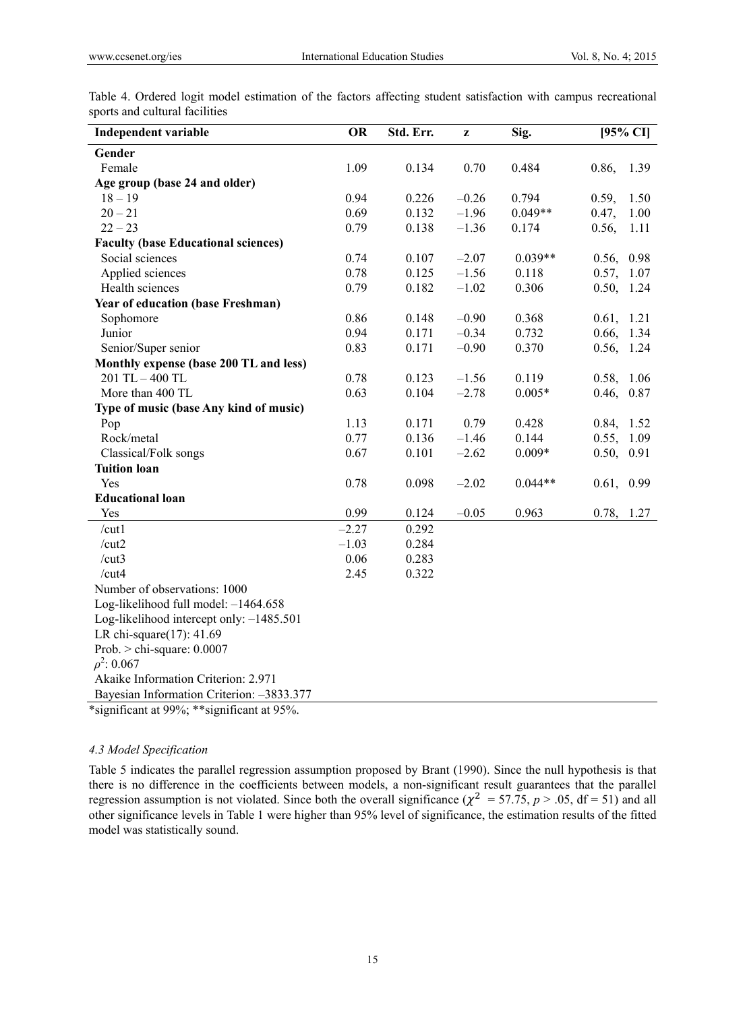| <b>Independent variable</b>                | <b>OR</b> | Std. Err. | $\mathbf{z}$ | Sig.      | [95% CI]      |
|--------------------------------------------|-----------|-----------|--------------|-----------|---------------|
| Gender                                     |           |           |              |           |               |
| Female                                     | 1.09      | 0.134     | 0.70         | 0.484     | 0.86,<br>1.39 |
| Age group (base 24 and older)              |           |           |              |           |               |
| $18 - 19$                                  | 0.94      | 0.226     | $-0.26$      | 0.794     | 0.59,<br>1.50 |
| $20 - 21$                                  | 0.69      | 0.132     | $-1.96$      | $0.049**$ | 0.47,<br>1.00 |
| $22 - 23$                                  | 0.79      | 0.138     | $-1.36$      | 0.174     | 0.56,<br>1.11 |
| <b>Faculty (base Educational sciences)</b> |           |           |              |           |               |
| Social sciences                            | 0.74      | 0.107     | $-2.07$      | $0.039**$ | 0.56, 0.98    |
| Applied sciences                           | 0.78      | 0.125     | $-1.56$      | 0.118     | 0.57, 1.07    |
| Health sciences                            | 0.79      | 0.182     | $-1.02$      | 0.306     | 0.50, 1.24    |
| <b>Year of education (base Freshman)</b>   |           |           |              |           |               |
| Sophomore                                  | 0.86      | 0.148     | $-0.90$      | 0.368     | 0.61, 1.21    |
| Junior                                     | 0.94      | 0.171     | $-0.34$      | 0.732     | 0.66, 1.34    |
| Senior/Super senior                        | 0.83      | 0.171     | $-0.90$      | 0.370     | 0.56, 1.24    |
| Monthly expense (base 200 TL and less)     |           |           |              |           |               |
| 201 TL-400 TL                              | 0.78      | 0.123     | $-1.56$      | 0.119     | 0.58, 1.06    |
| More than 400 TL                           | 0.63      | 0.104     | $-2.78$      | $0.005*$  | 0.46, 0.87    |
| Type of music (base Any kind of music)     |           |           |              |           |               |
| Pop                                        | 1.13      | 0.171     | 0.79         | 0.428     | 0.84,<br>1.52 |
| Rock/metal                                 | 0.77      | 0.136     | $-1.46$      | 0.144     | 0.55,<br>1.09 |
| Classical/Folk songs                       | 0.67      | 0.101     | $-2.62$      | $0.009*$  | 0.50, 0.91    |
| <b>Tuition loan</b>                        |           |           |              |           |               |
| Yes                                        | 0.78      | 0.098     | $-2.02$      | $0.044**$ | 0.61, 0.99    |
| <b>Educational loan</b>                    |           |           |              |           |               |
| Yes                                        | 0.99      | 0.124     | $-0.05$      | 0.963     | 0.78, 1.27    |
| /cut1                                      | $-2.27$   | 0.292     |              |           |               |
| /cut2                                      | $-1.03$   | 0.284     |              |           |               |
| /cut3                                      | 0.06      | 0.283     |              |           |               |
| /cut4                                      | 2.45      | 0.322     |              |           |               |
| Number of observations: 1000               |           |           |              |           |               |
| Log-likelihood full model: -1464.658       |           |           |              |           |               |
| Log-likelihood intercept only: -1485.501   |           |           |              |           |               |
| LR chi-square(17): 41.69                   |           |           |              |           |               |
| Prob. $>$ chi-square: 0.0007               |           |           |              |           |               |
| $\rho^2$ : 0.067                           |           |           |              |           |               |
| Akaike Information Criterion: 2.971        |           |           |              |           |               |
| Bayesian Information Criterion: -3833.377  |           |           |              |           |               |
| *significant at 99%; **significant at 95%. |           |           |              |           |               |

Table 4. Ordered logit model estimation of the factors affecting student satisfaction with campus recreational sports and cultural facilities

# *4.3 Model Specification*

Table 5 indicates the parallel regression assumption proposed by Brant (1990). Since the null hypothesis is that there is no difference in the coefficients between models, a non-significant result guarantees that the parallel regression assumption is not violated. Since both the overall significance ( $\chi^2$  = 57.75, *p* > .05, df = 51) and all other significance levels in Table 1 were higher than 95% level of significance, the estimation results of the fitted model was statistically sound.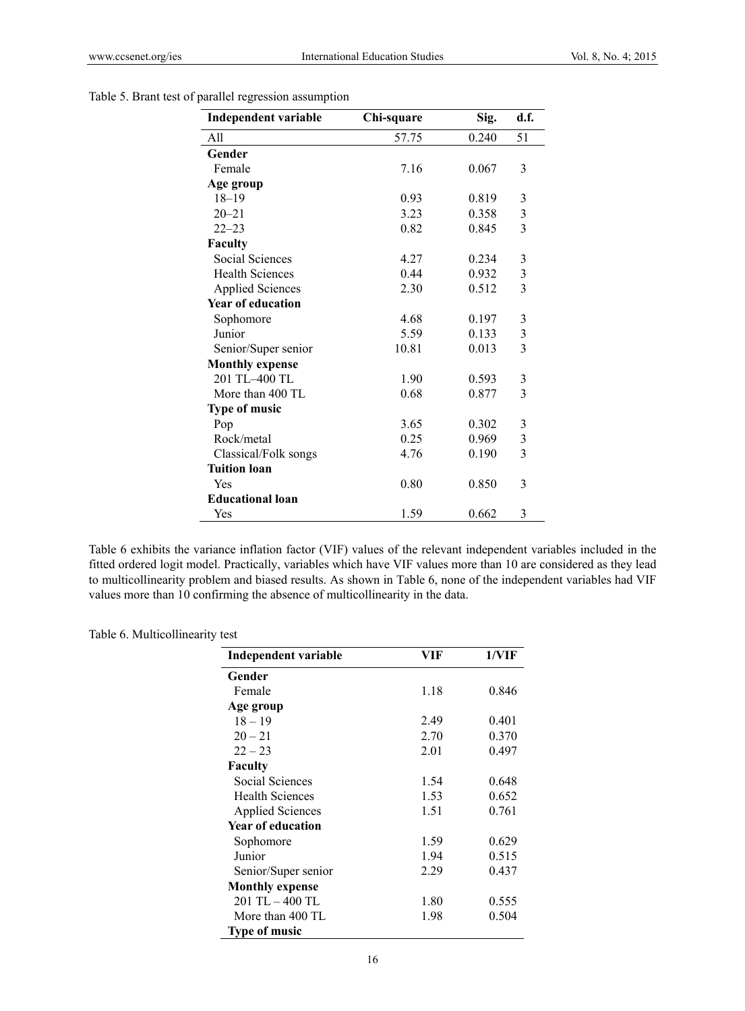|  |  | Table 5. Brant test of parallel regression assumption |
|--|--|-------------------------------------------------------|
|  |  |                                                       |

| Independent variable     | Chi-square | Sig.  | d.f.                    |
|--------------------------|------------|-------|-------------------------|
| All                      | 57.75      | 0.240 | 51                      |
| Gender                   |            |       |                         |
| Female                   | 7.16       | 0.067 | 3                       |
| Age group                |            |       |                         |
| $18 - 19$                | 0.93       | 0.819 | 3                       |
| $20 - 21$                | 3.23       | 0.358 | $\overline{\mathbf{3}}$ |
| $22 - 23$                | 0.82       | 0.845 | $\overline{3}$          |
| Faculty                  |            |       |                         |
| Social Sciences          | 4.27       | 0.234 | $\mathfrak{Z}$          |
| <b>Health Sciences</b>   | 0.44       | 0.932 | $\mathfrak{Z}$          |
| <b>Applied Sciences</b>  | 2.30       | 0.512 | $\overline{3}$          |
| <b>Year of education</b> |            |       |                         |
| Sophomore                | 4.68       | 0.197 | $\mathfrak{Z}$          |
| Junior                   | 5.59       | 0.133 | $\overline{\mathbf{3}}$ |
| Senior/Super senior      | 10.81      | 0.013 | $\overline{3}$          |
| <b>Monthly expense</b>   |            |       |                         |
| 201 TL-400 TL            | 1.90       | 0.593 | $\mathfrak{Z}$          |
| More than $400$ TL       | 0.68       | 0.877 | $\overline{3}$          |
| <b>Type of music</b>     |            |       |                         |
| Pop                      | 3.65       | 0.302 | $\mathfrak{Z}$          |
| Rock/metal               | 0.25       | 0.969 | $\overline{\mathbf{3}}$ |
| Classical/Folk songs     | 4.76       | 0.190 | $\overline{3}$          |
| <b>Tuition loan</b>      |            |       |                         |
| Yes                      | 0.80       | 0.850 | 3                       |
| <b>Educational loan</b>  |            |       |                         |
| Yes                      | 1.59       | 0.662 | 3                       |

Table 6 exhibits the variance inflation factor (VIF) values of the relevant independent variables included in the fitted ordered logit model. Practically, variables which have VIF values more than 10 are considered as they lead to multicollinearity problem and biased results. As shown in Table 6, none of the independent variables had VIF values more than 10 confirming the absence of multicollinearity in the data.

## Table 6. Multicollinearity test

÷,

| Independent variable     | VIF  | 1/VIF |
|--------------------------|------|-------|
| Gender                   |      |       |
| Female                   | 1.18 | 0.846 |
| Age group                |      |       |
| $18 - 19$                | 2.49 | 0.401 |
| $20 - 21$                | 2.70 | 0.370 |
| $22 - 23$                | 2.01 | 0.497 |
| <b>Faculty</b>           |      |       |
| <b>Social Sciences</b>   | 1.54 | 0.648 |
| <b>Health Sciences</b>   | 1.53 | 0.652 |
| <b>Applied Sciences</b>  | 1.51 | 0.761 |
| <b>Year of education</b> |      |       |
| Sophomore                | 1.59 | 0.629 |
| Junior                   | 1.94 | 0.515 |
| Senior/Super senior      | 2.29 | 0.437 |
| <b>Monthly expense</b>   |      |       |
| $201$ TL $-$ 400 TL      | 1.80 | 0.555 |
| More than $400$ TL       | 1.98 | 0.504 |
| <b>Type of music</b>     |      |       |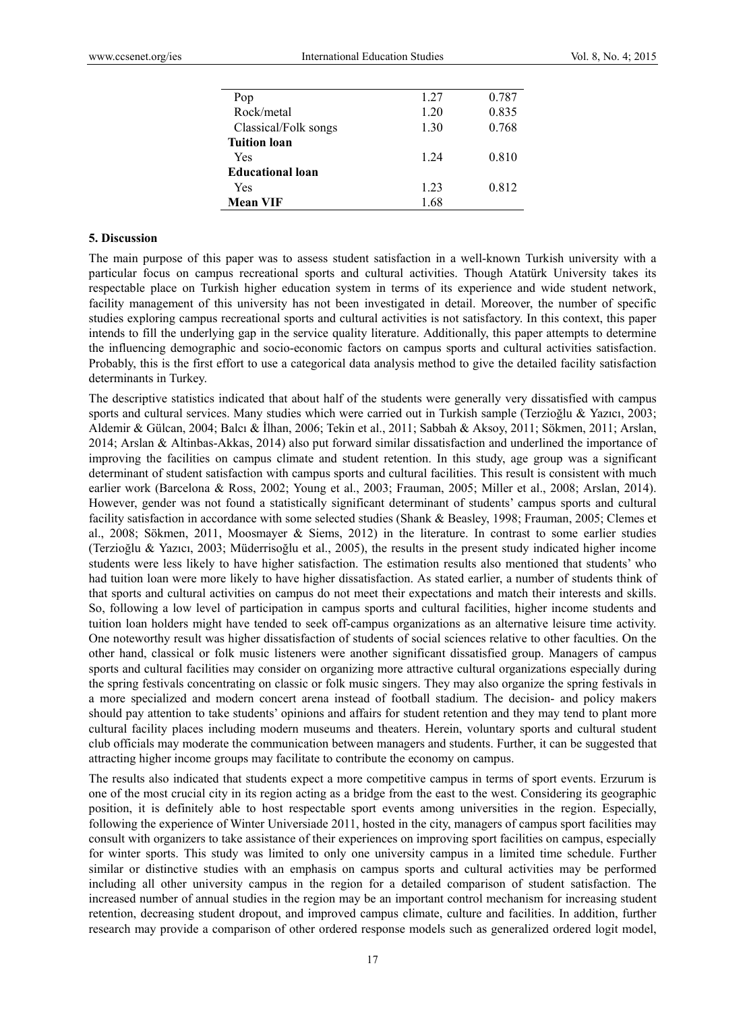| 1.27 | 0.787 |
|------|-------|
| 1.20 | 0.835 |
| 1.30 | 0.768 |
|      |       |
| 1 24 | 0.810 |
|      |       |
| 1 23 | 0.812 |
| 1 68 |       |
|      |       |

## **5. Discussion**

The main purpose of this paper was to assess student satisfaction in a well-known Turkish university with a particular focus on campus recreational sports and cultural activities. Though Atatürk University takes its respectable place on Turkish higher education system in terms of its experience and wide student network, facility management of this university has not been investigated in detail. Moreover, the number of specific studies exploring campus recreational sports and cultural activities is not satisfactory. In this context, this paper intends to fill the underlying gap in the service quality literature. Additionally, this paper attempts to determine the influencing demographic and socio-economic factors on campus sports and cultural activities satisfaction. Probably, this is the first effort to use a categorical data analysis method to give the detailed facility satisfaction determinants in Turkey.

The descriptive statistics indicated that about half of the students were generally very dissatisfied with campus sports and cultural services. Many studies which were carried out in Turkish sample (Terzioğlu & Yazıcı, 2003; Aldemir & Gülcan, 2004; Balcı & İlhan, 2006; Tekin et al., 2011; Sabbah & Aksoy, 2011; Sökmen, 2011; Arslan, 2014; Arslan & Altinbas-Akkas, 2014) also put forward similar dissatisfaction and underlined the importance of improving the facilities on campus climate and student retention. In this study, age group was a significant determinant of student satisfaction with campus sports and cultural facilities. This result is consistent with much earlier work (Barcelona & Ross, 2002; Young et al., 2003; Frauman, 2005; Miller et al., 2008; Arslan, 2014). However, gender was not found a statistically significant determinant of students' campus sports and cultural facility satisfaction in accordance with some selected studies (Shank & Beasley, 1998; Frauman, 2005; Clemes et al., 2008; Sökmen, 2011, Moosmayer & Siems, 2012) in the literature. In contrast to some earlier studies (Terzioğlu & Yazıcı, 2003; Müderrisoğlu et al., 2005), the results in the present study indicated higher income students were less likely to have higher satisfaction. The estimation results also mentioned that students' who had tuition loan were more likely to have higher dissatisfaction. As stated earlier, a number of students think of that sports and cultural activities on campus do not meet their expectations and match their interests and skills. So, following a low level of participation in campus sports and cultural facilities, higher income students and tuition loan holders might have tended to seek off-campus organizations as an alternative leisure time activity. One noteworthy result was higher dissatisfaction of students of social sciences relative to other faculties. On the other hand, classical or folk music listeners were another significant dissatisfied group. Managers of campus sports and cultural facilities may consider on organizing more attractive cultural organizations especially during the spring festivals concentrating on classic or folk music singers. They may also organize the spring festivals in a more specialized and modern concert arena instead of football stadium. The decision- and policy makers should pay attention to take students' opinions and affairs for student retention and they may tend to plant more cultural facility places including modern museums and theaters. Herein, voluntary sports and cultural student club officials may moderate the communication between managers and students. Further, it can be suggested that attracting higher income groups may facilitate to contribute the economy on campus.

The results also indicated that students expect a more competitive campus in terms of sport events. Erzurum is one of the most crucial city in its region acting as a bridge from the east to the west. Considering its geographic position, it is definitely able to host respectable sport events among universities in the region. Especially, following the experience of Winter Universiade 2011, hosted in the city, managers of campus sport facilities may consult with organizers to take assistance of their experiences on improving sport facilities on campus, especially for winter sports. This study was limited to only one university campus in a limited time schedule. Further similar or distinctive studies with an emphasis on campus sports and cultural activities may be performed including all other university campus in the region for a detailed comparison of student satisfaction. The increased number of annual studies in the region may be an important control mechanism for increasing student retention, decreasing student dropout, and improved campus climate, culture and facilities. In addition, further research may provide a comparison of other ordered response models such as generalized ordered logit model,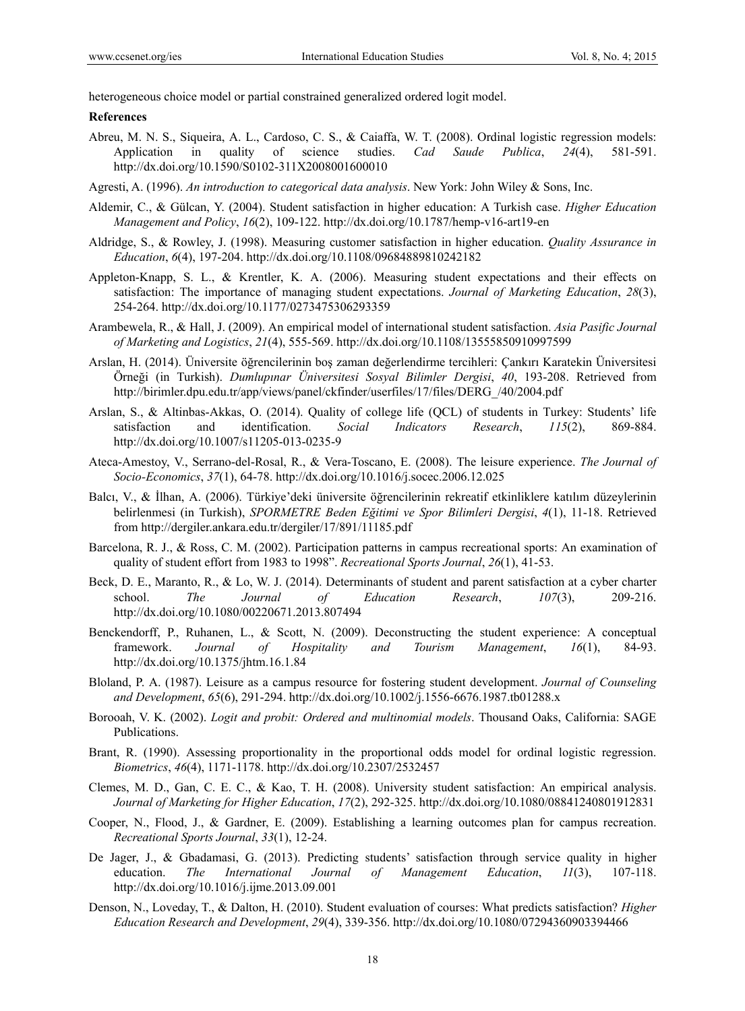heterogeneous choice model or partial constrained generalized ordered logit model.

## **References**

- Abreu, M. N. S., Siqueira, A. L., Cardoso, C. S., & Caiaffa, W. T. (2008). Ordinal logistic regression models: Application in quality of science studies. *Cad Saude Publica*, *24*(4), 581-591. http://dx.doi.org/10.1590/S0102-311X2008001600010
- Agresti, A. (1996). *An introduction to categorical data analysis*. New York: John Wiley & Sons, Inc.
- Aldemir, C., & Gülcan, Y. (2004). Student satisfaction in higher education: A Turkish case. *Higher Education Management and Policy*, *16*(2), 109-122. http://dx.doi.org/10.1787/hemp-v16-art19-en
- Aldridge, S., & Rowley, J. (1998). Measuring customer satisfaction in higher education. *Quality Assurance in Education*, *6*(4), 197-204. http://dx.doi.org/10.1108/09684889810242182
- Appleton-Knapp, S. L., & Krentler, K. A. (2006). Measuring student expectations and their effects on satisfaction: The importance of managing student expectations. *Journal of Marketing Education*, *28*(3), 254-264. http://dx.doi.org/10.1177/0273475306293359
- Arambewela, R., & Hall, J. (2009). An empirical model of international student satisfaction. *Asia Pasific Journal of Marketing and Logistics*, *21*(4), 555-569. http://dx.doi.org/10.1108/13555850910997599
- Arslan, H. (2014). Üniversite öğrencilerinin boş zaman değerlendirme tercihleri: Çankırı Karatekin Üniversitesi Örneği (in Turkish). *Dumlupınar Üniversitesi Sosyal Bilimler Dergisi*, *40*, 193-208. Retrieved from http://birimler.dpu.edu.tr/app/views/panel/ckfinder/userfiles/17/files/DERG\_/40/2004.pdf
- Arslan, S., & Altinbas-Akkas, O. (2014). Quality of college life (QCL) of students in Turkey: Students' life satisfaction and identification. *Social Indicators Research*, *115*(2), 869-884. http://dx.doi.org/10.1007/s11205-013-0235-9
- Ateca-Amestoy, V., Serrano-del-Rosal, R., & Vera-Toscano, E. (2008). The leisure experience. *The Journal of Socio-Economics*, *37*(1), 64-78. http://dx.doi.org/10.1016/j.socec.2006.12.025
- Balcı, V., & İlhan, A. (2006). Türkiye'deki üniversite öğrencilerinin rekreatif etkinliklere katılım düzeylerinin belirlenmesi (in Turkish), *SPORMETRE Beden Eğitimi ve Spor Bilimleri Dergisi*, *4*(1), 11-18. Retrieved from http://dergiler.ankara.edu.tr/dergiler/17/891/11185.pdf
- Barcelona, R. J., & Ross, C. M. (2002). Participation patterns in campus recreational sports: An examination of quality of student effort from 1983 to 1998". *Recreational Sports Journal*, *26*(1), 41-53.
- Beck, D. E., Maranto, R., & Lo, W. J. (2014). Determinants of student and parent satisfaction at a cyber charter school. *The Journal of Education Research*, *107*(3), 209-216. http://dx.doi.org/10.1080/00220671.2013.807494
- Benckendorff, P., Ruhanen, L., & Scott, N. (2009). Deconstructing the student experience: A conceptual framework. *Journal of Hospitality and Tourism Management*, *16*(1), 84-93. http://dx.doi.org/10.1375/jhtm.16.1.84
- Bloland, P. A. (1987). Leisure as a campus resource for fostering student development. *Journal of Counseling and Development*, *65*(6), 291-294. http://dx.doi.org/10.1002/j.1556-6676.1987.tb01288.x
- Borooah, V. K. (2002). *Logit and probit: Ordered and multinomial models*. Thousand Oaks, California: SAGE Publications.
- Brant, R. (1990). Assessing proportionality in the proportional odds model for ordinal logistic regression. *Biometrics*, *46*(4), 1171-1178. http://dx.doi.org/10.2307/2532457
- Clemes, M. D., Gan, C. E. C., & Kao, T. H. (2008). University student satisfaction: An empirical analysis. *Journal of Marketing for Higher Education*, *17*(2), 292-325. http://dx.doi.org/10.1080/08841240801912831
- Cooper, N., Flood, J., & Gardner, E. (2009). Establishing a learning outcomes plan for campus recreation. *Recreational Sports Journal*, *33*(1), 12-24.
- De Jager, J., & Gbadamasi, G. (2013). Predicting students' satisfaction through service quality in higher education. *The International Journal of Management Education*, *11*(3), 107-118. http://dx.doi.org/10.1016/j.ijme.2013.09.001
- Denson, N., Loveday, T., & Dalton, H. (2010). Student evaluation of courses: What predicts satisfaction? *Higher Education Research and Development*, *29*(4), 339-356. http://dx.doi.org/10.1080/07294360903394466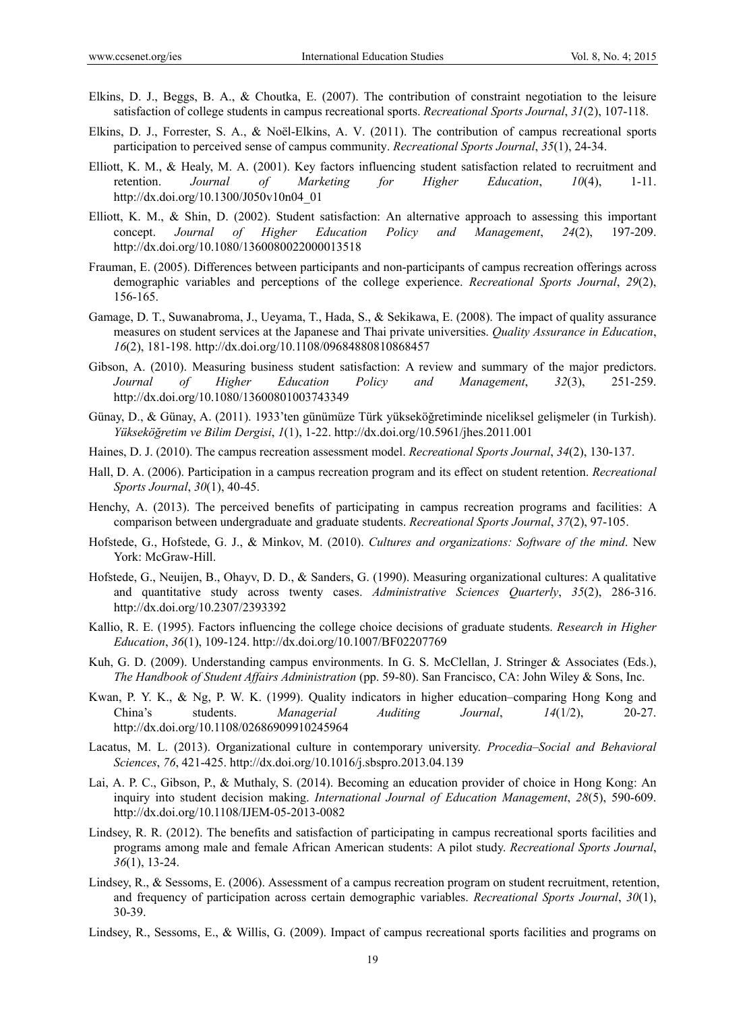- Elkins, D. J., Beggs, B. A., & Choutka, E. (2007). The contribution of constraint negotiation to the leisure satisfaction of college students in campus recreational sports. *Recreational Sports Journal*, *31*(2), 107-118.
- Elkins, D. J., Forrester, S. A., & Noël-Elkins, A. V. (2011). The contribution of campus recreational sports participation to perceived sense of campus community. *Recreational Sports Journal*, *35*(1), 24-34.
- Elliott, K. M., & Healy, M. A. (2001). Key factors influencing student satisfaction related to recruitment and retention. *Journal of Marketing for Higher Education*, *10*(4), 1-11. http://dx.doi.org/10.1300/J050v10n04\_01
- Elliott, K. M., & Shin, D. (2002). Student satisfaction: An alternative approach to assessing this important concept. *Journal of Higher Education Policy and Management*, *24*(2), 197-209. http://dx.doi.org/10.1080/1360080022000013518
- Frauman, E. (2005). Differences between participants and non-participants of campus recreation offerings across demographic variables and perceptions of the college experience. *Recreational Sports Journal*, *29*(2), 156-165.
- Gamage, D. T., Suwanabroma, J., Ueyama, T., Hada, S., & Sekikawa, E. (2008). The impact of quality assurance measures on student services at the Japanese and Thai private universities. *Quality Assurance in Education*, *16*(2), 181-198. http://dx.doi.org/10.1108/09684880810868457
- Gibson, A. (2010). Measuring business student satisfaction: A review and summary of the major predictors. *Journal of Higher Education Policy and Management*, *32*(3), 251-259. http://dx.doi.org/10.1080/13600801003743349
- Günay, D., & Günay, A. (2011). 1933'ten günümüze Türk yükseköğretiminde niceliksel gelişmeler (in Turkish). *Yükseköğretim ve Bilim Dergisi*, *1*(1), 1-22. http://dx.doi.org/10.5961/jhes.2011.001
- Haines, D. J. (2010). The campus recreation assessment model. *Recreational Sports Journal*, *34*(2), 130-137.
- Hall, D. A. (2006). Participation in a campus recreation program and its effect on student retention. *Recreational Sports Journal*, *30*(1), 40-45.
- Henchy, A. (2013). The perceived benefits of participating in campus recreation programs and facilities: A comparison between undergraduate and graduate students. *Recreational Sports Journal*, *37*(2), 97-105.
- Hofstede, G., Hofstede, G. J., & Minkov, M. (2010). *Cultures and organizations: Software of the mind*. New York: McGraw-Hill.
- Hofstede, G., Neuijen, B., Ohayv, D. D., & Sanders, G. (1990). Measuring organizational cultures: A qualitative and quantitative study across twenty cases. *Administrative Sciences Quarterly*, *35*(2), 286-316. http://dx.doi.org/10.2307/2393392
- Kallio, R. E. (1995). Factors influencing the college choice decisions of graduate students. *Research in Higher Education*, *36*(1), 109-124. http://dx.doi.org/10.1007/BF02207769
- Kuh, G. D. (2009). Understanding campus environments. In G. S. McClellan, J. Stringer & Associates (Eds.), *The Handbook of Student Affairs Administration* (pp. 59-80). San Francisco, CA: John Wiley & Sons, Inc.
- Kwan, P. Y. K., & Ng, P. W. K. (1999). Quality indicators in higher education–comparing Hong Kong and China's students. *Managerial Auditing Journal*, *14*(1/2), 20-27. http://dx.doi.org/10.1108/02686909910245964
- Lacatus, M. L. (2013). Organizational culture in contemporary university. *Procedia–Social and Behavioral Sciences*, *76*, 421-425. http://dx.doi.org/10.1016/j.sbspro.2013.04.139
- Lai, A. P. C., Gibson, P., & Muthaly, S. (2014). Becoming an education provider of choice in Hong Kong: An inquiry into student decision making. *International Journal of Education Management*, *28*(5), 590-609. http://dx.doi.org/10.1108/IJEM-05-2013-0082
- Lindsey, R. R. (2012). The benefits and satisfaction of participating in campus recreational sports facilities and programs among male and female African American students: A pilot study. *Recreational Sports Journal*, *36*(1), 13-24.
- Lindsey, R., & Sessoms, E. (2006). Assessment of a campus recreation program on student recruitment, retention, and frequency of participation across certain demographic variables. *Recreational Sports Journal*, *30*(1), 30-39.
- Lindsey, R., Sessoms, E., & Willis, G. (2009). Impact of campus recreational sports facilities and programs on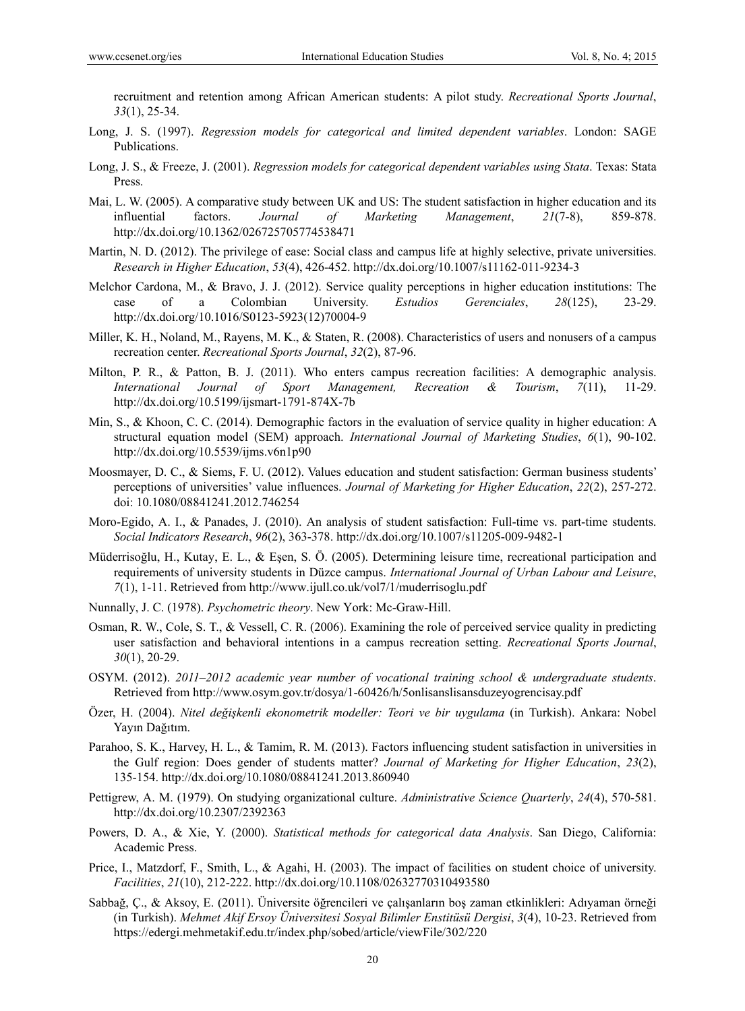recruitment and retention among African American students: A pilot study. *Recreational Sports Journal*, *33*(1), 25-34.

- Long, J. S. (1997). *Regression models for categorical and limited dependent variables*. London: SAGE Publications.
- Long, J. S., & Freeze, J. (2001). *Regression models for categorical dependent variables using Stata*. Texas: Stata Press.
- Mai, L. W. (2005). A comparative study between UK and US: The student satisfaction in higher education and its influential factors. *Journal of Marketing Management*, *21*(7-8), 859-878. http://dx.doi.org/10.1362/026725705774538471
- Martin, N. D. (2012). The privilege of ease: Social class and campus life at highly selective, private universities. *Research in Higher Education*, *53*(4), 426-452. http://dx.doi.org/10.1007/s11162-011-9234-3
- Melchor Cardona, M., & Bravo, J. J. (2012). Service quality perceptions in higher education institutions: The case of a Colombian University. *Estudios Gerenciales*, *28*(125), 23-29. http://dx.doi.org/10.1016/S0123-5923(12)70004-9
- Miller, K. H., Noland, M., Rayens, M. K., & Staten, R. (2008). Characteristics of users and nonusers of a campus recreation center. *Recreational Sports Journal*, *32*(2), 87-96.
- Milton, P. R., & Patton, B. J. (2011). Who enters campus recreation facilities: A demographic analysis. *International Journal of Sport Management, Recreation & Tourism*, *7*(11), 11-29. http://dx.doi.org/10.5199/ijsmart-1791-874X-7b
- Min, S., & Khoon, C. C. (2014). Demographic factors in the evaluation of service quality in higher education: A structural equation model (SEM) approach. *International Journal of Marketing Studies*, *6*(1), 90-102. http://dx.doi.org/10.5539/ijms.v6n1p90
- Moosmayer, D. C., & Siems, F. U. (2012). Values education and student satisfaction: German business students' perceptions of universities' value influences. *Journal of Marketing for Higher Education*, *22*(2), 257-272. doi: 10.1080/08841241.2012.746254
- Moro-Egido, A. I., & Panades, J. (2010). An analysis of student satisfaction: Full-time vs. part-time students. *Social Indicators Research*, *96*(2), 363-378. http://dx.doi.org/10.1007/s11205-009-9482-1
- Müderrisoğlu, H., Kutay, E. L., & Eşen, S. Ö. (2005). Determining leisure time, recreational participation and requirements of university students in Düzce campus. *International Journal of Urban Labour and Leisure*, *7*(1), 1-11. Retrieved from http://www.ijull.co.uk/vol7/1/muderrisoglu.pdf
- Nunnally, J. C. (1978). *Psychometric theory*. New York: Mc-Graw-Hill.
- Osman, R. W., Cole, S. T., & Vessell, C. R. (2006). Examining the role of perceived service quality in predicting user satisfaction and behavioral intentions in a campus recreation setting. *Recreational Sports Journal*, *30*(1), 20-29.
- OSYM. (2012). *2011–2012 academic year number of vocational training school & undergraduate students*. Retrieved from http://www.osym.gov.tr/dosya/1-60426/h/5onlisanslisansduzeyogrencisay.pdf
- Özer, H. (2004). *Nitel değişkenli ekonometrik modeller: Teori ve bir uygulama* (in Turkish). Ankara: Nobel Yayın Dağıtım.
- Parahoo, S. K., Harvey, H. L., & Tamim, R. M. (2013). Factors influencing student satisfaction in universities in the Gulf region: Does gender of students matter? *Journal of Marketing for Higher Education*, *23*(2), 135-154. http://dx.doi.org/10.1080/08841241.2013.860940
- Pettigrew, A. M. (1979). On studying organizational culture. *Administrative Science Quarterly*, *24*(4), 570-581. http://dx.doi.org/10.2307/2392363
- Powers, D. A., & Xie, Y. (2000). *Statistical methods for categorical data Analysis*. San Diego, California: Academic Press.
- Price, I., Matzdorf, F., Smith, L., & Agahi, H. (2003). The impact of facilities on student choice of university. *Facilities*, *21*(10), 212-222. http://dx.doi.org/10.1108/02632770310493580
- Sabbağ, Ç., & Aksoy, E. (2011). Üniversite öğrencileri ve çalışanların boş zaman etkinlikleri: Adıyaman örneği (in Turkish). *Mehmet Akif Ersoy Üniversitesi Sosyal Bilimler Enstitüsü Dergisi*, *3*(4), 10-23. Retrieved from https://edergi.mehmetakif.edu.tr/index.php/sobed/article/viewFile/302/220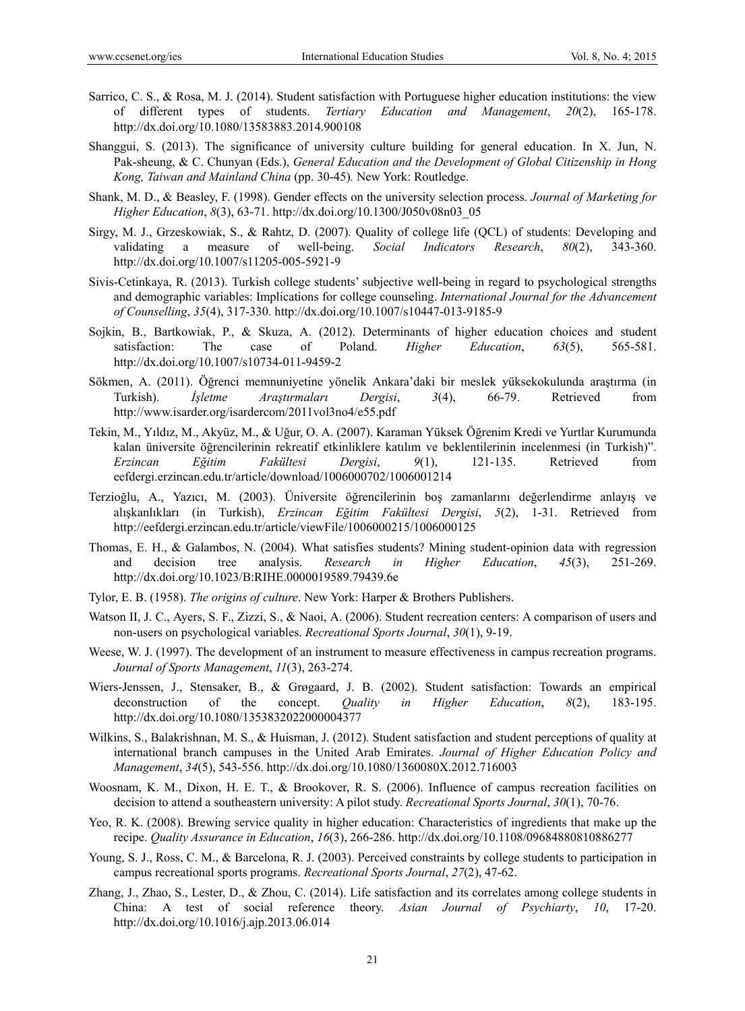- Sarrico, C. S., & Rosa, M. J. (2014). Student satisfaction with Portuguese higher education institutions: the view of different types of students. *Tertiary Education and Management*, *20*(2), 165-178. http://dx.doi.org/10.1080/13583883.2014.900108
- Shanggui, S. (2013). The significance of university culture building for general education. In X. Jun, N. Pak-sheung, & C. Chunyan (Eds.), *General Education and the Development of Global Citizenship in Hong Kong, Taiwan and Mainland China* (pp. 30-45)*.* New York: Routledge.
- Shank, M. D., & Beasley, F. (1998). Gender effects on the university selection process. *Journal of Marketing for Higher Education*, *8*(3), 63-71. http://dx.doi.org/10.1300/J050v08n03\_05
- Sirgy, M. J., Grzeskowiak, S., & Rahtz, D. (2007). Quality of college life (QCL) of students: Developing and validating a measure of well-being. *Social Indicators Research*, *80*(2), 343-360. http://dx.doi.org/10.1007/s11205-005-5921-9
- Sivis-Cetinkaya, R. (2013). Turkish college students' subjective well-being in regard to psychological strengths and demographic variables: Implications for college counseling. *International Journal for the Advancement of Counselling*, *35*(4), 317-330. http://dx.doi.org/10.1007/s10447-013-9185-9
- Sojkin, B., Bartkowiak, P., & Skuza, A. (2012). Determinants of higher education choices and student satisfaction: The case of Poland. *Higher Education*, *63*(5), 565-581. http://dx.doi.org/10.1007/s10734-011-9459-2
- Sökmen, A. (2011). Öğrenci memnuniyetine yönelik Ankara'daki bir meslek yüksekokulunda araştırma (in Turkish). *İşletme Araştırmaları Dergisi*, *3*(4), 66-79. Retrieved from http://www.isarder.org/isardercom/2011vol3no4/e55.pdf
- Tekin, M., Yıldız, M., Akyüz, M., & Uğur, O. A. (2007). Karaman Yüksek Öğrenim Kredi ve Yurtlar Kurumunda kalan üniversite öğrencilerinin rekreatif etkinliklere katılım ve beklentilerinin incelenmesi (in Turkish)". *Erzincan Eğitim Fakültesi Dergisi*, *9*(1), 121-135. Retrieved from eefdergi.erzincan.edu.tr/article/download/1006000702/1006001214
- Terzioğlu, A., Yazıcı, M. (2003). Üniversite öğrencilerinin boş zamanlarını değerlendirme anlayış ve alışkanlıkları (in Turkish), *Erzincan Eğitim Fakültesi Dergisi*, *5*(2), 1-31. Retrieved from http://eefdergi.erzincan.edu.tr/article/viewFile/1006000215/1006000125
- Thomas, E. H., & Galambos, N. (2004). What satisfies students? Mining student-opinion data with regression and decision tree analysis. *Research in Higher Education*, *45*(3), 251-269. http://dx.doi.org/10.1023/B:RIHE.0000019589.79439.6e
- Tylor, E. B. (1958). *The origins of culture*. New York: Harper & Brothers Publishers.
- Watson II, J. C., Ayers, S. F., Zizzi, S., & Naoi, A. (2006). Student recreation centers: A comparison of users and non-users on psychological variables. *Recreational Sports Journal*, *30*(1), 9-19.
- Weese, W. J. (1997). The development of an instrument to measure effectiveness in campus recreation programs. *Journal of Sports Management*, *11*(3), 263-274.
- Wiers-Jenssen, J., Stensaker, B., & Grøgaard, J. B. (2002). Student satisfaction: Towards an empirical deconstruction of the concept. *Quality in Higher Education*, *8*(2), 183-195. http://dx.doi.org/10.1080/1353832022000004377
- Wilkins, S., Balakrishnan, M. S., & Huisman, J. (2012). Student satisfaction and student perceptions of quality at international branch campuses in the United Arab Emirates. *Journal of Higher Education Policy and Management*, *34*(5), 543-556. http://dx.doi.org/10.1080/1360080X.2012.716003
- Woosnam, K. M., Dixon, H. E. T., & Brookover, R. S. (2006). Influence of campus recreation facilities on decision to attend a southeastern university: A pilot study. *Recreational Sports Journal*, *30*(1), 70-76.
- Yeo, R. K. (2008). Brewing service quality in higher education: Characteristics of ingredients that make up the recipe. *Quality Assurance in Education*, *16*(3), 266-286. http://dx.doi.org/10.1108/09684880810886277
- Young, S. J., Ross, C. M., & Barcelona, R. J. (2003). Perceived constraints by college students to participation in campus recreational sports programs. *Recreational Sports Journal*, *27*(2), 47-62.
- Zhang, J., Zhao, S., Lester, D., & Zhou, C. (2014). Life satisfaction and its correlates among college students in China: A test of social reference theory. *Asian Journal of Psychiarty*, *10*, 17-20. http://dx.doi.org/10.1016/j.ajp.2013.06.014